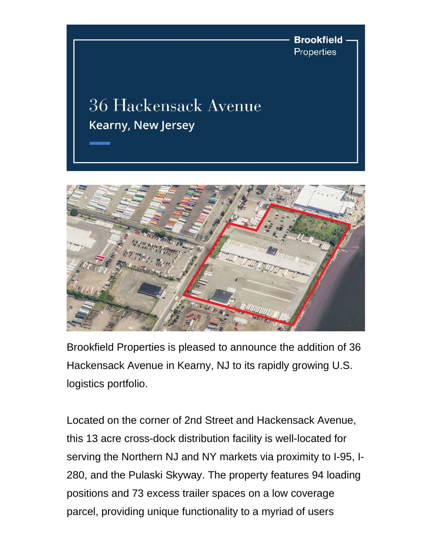**Brookfield** Properties

## **36 Hackensack Avenue Kearny, New Jersey**



Brookfield Properties is pleased to announce the addition of 36 Hackensack Avenue in Kearny, NJ to its rapidly growing U.S. logistics portfolio.

Located on the corner of 2nd Street and Hackensack Avenue, this 13 acre cross-dock distribution facility is well-located for serving the Northern NJ and NY markets via proximity to I-95, I-280, and the Pulaski Skyway. The property features 94 loading positions and 73 excess trailer spaces on a low coverage parcel, providing unique functionality to a myriad of users